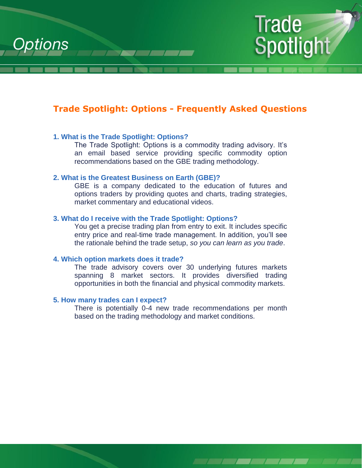



# **Trade Spotlight: Options - Frequently Asked Questions**

## **1. What is the Trade Spotlight: Options?**

The Trade Spotlight: Options is a commodity trading advisory. It's an email based service providing specific commodity option recommendations based on the GBE trading methodology.

#### **2. What is the Greatest Business on Earth (GBE)?**

GBE is a company dedicated to the education of futures and options traders by providing quotes and charts, trading strategies, market commentary and educational videos.

## **3. What do I receive with the Trade Spotlight: Options?**

You get a precise trading plan from entry to exit. It includes specific entry price and real-time trade management. In addition, you'll see the rationale behind the trade setup, *so you can learn as you trade*.

#### **4. Which option markets does it trade?**

The trade advisory covers over 30 underlying futures markets spanning 8 market sectors. It provides diversified trading opportunities in both the financial and physical commodity markets.

#### **5. How many trades can I expect?**

There is potentially 0-4 new trade recommendations per month based on the trading methodology and market conditions.

1 1 1 1 1 1 1 1